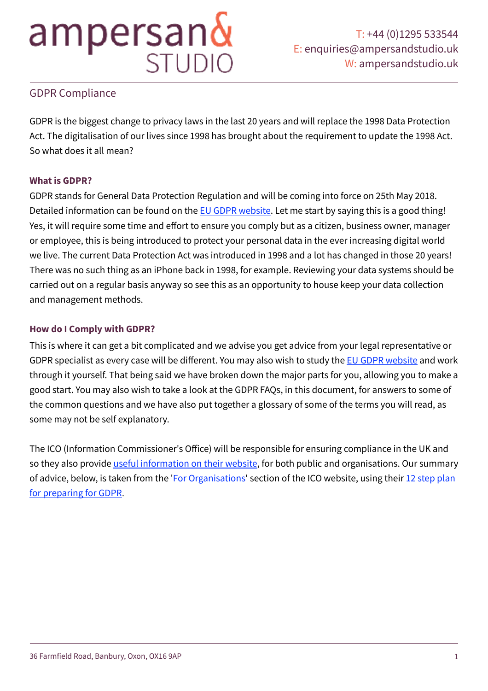## GDPR Compliance

GDPR is the biggest change to privacy laws in the last 20 years and will replace the 1998 Data Protection Act. The digitalisation of our lives since 1998 has brought about the requirement to update the 1998 Act. So what does it all mean?

### **What is GDPR?**

GDPR stands for General Data Protection Regulation and will be coming into force on 25th May 2018. Detailed information can be found on the [EU GDPR website](https://www.eugdpr.org/eugdpr.org.html). Let me start by saying this is a good thing! Yes, it will require some time and effort to ensure you comply but as a citizen, business owner, manager or employee, this is being introduced to protect your personal data in the ever increasing digital world we live. The current Data Protection Act was introduced in 1998 and a lot has changed in those 20 years! There was no such thing as an iPhone back in 1998, for example. Reviewing your data systems should be carried out on a regular basis anyway so see this as an opportunity to house keep your data collection and management methods.

#### **How do I Comply with GDPR?**

This is where it can get a bit complicated and we advise you get advice from your legal representative or GDPR specialist as every case will be different. You may also wish to study the [EU GDPR website](https://www.eugdpr.org/eugdpr.org.html) and work through it yourself. That being said we have broken down the major parts for you, allowing you to make a good start. You may also wish to take a look at the GDPR FAQs, in this document, for answers to some of the common questions and we have also put together a glossary of some of the terms you will read, as some may not be self explanatory.

The ICO (Information Commissioner's Office) will be responsible for ensuring compliance in the UK and so they also provide *useful information on their website*, for both public and organisations. Our summary of advice, below, is taken from the '[For Organisations](https://ico.org.uk/for-organisations/)' section of the ICO website, using their 12 step plan [for preparing for GDPR](https://ico.org.uk/media/1624219/preparing-for-the-gdpr-12-steps.pdf).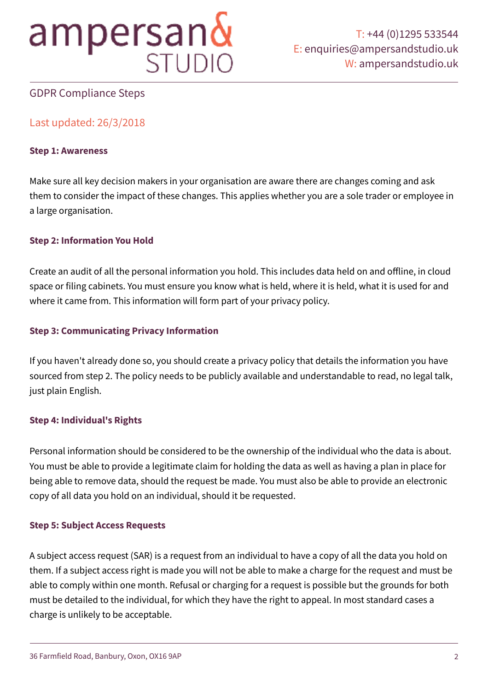

## GDPR Compliance Steps

## Last updated: 26/3/2018

#### **Step 1: Awareness**

Make sure all key decision makers in your organisation are aware there are changes coming and ask them to consider the impact of these changes. This applies whether you are a sole trader or employee in a large organisation.

#### **Step 2: Information You Hold**

Create an audit of all the personal information you hold. This includes data held on and offline, in cloud space or filing cabinets. You must ensure you know what is held, where it is held, what it is used for and where it came from. This information will form part of your privacy policy.

#### **Step 3: Communicating Privacy Information**

If you haven't already done so, you should create a privacy policy that details the information you have sourced from step 2. The policy needs to be publicly available and understandable to read, no legal talk, just plain English.

#### **Step 4: Individual's Rights**

Personal information should be considered to be the ownership of the individual who the data is about. You must be able to provide a legitimate claim for holding the data as well as having a plan in place for being able to remove data, should the request be made. You must also be able to provide an electronic copy of all data you hold on an individual, should it be requested.

#### **Step 5: Subject Access Requests**

A subject access request (SAR) is a request from an individual to have a copy of all the data you hold on them. If a subject access right is made you will not be able to make a charge for the request and must be able to comply within one month. Refusal or charging for a request is possible but the grounds for both must be detailed to the individual, for which they have the right to appeal. In most standard cases a charge is unlikely to be acceptable.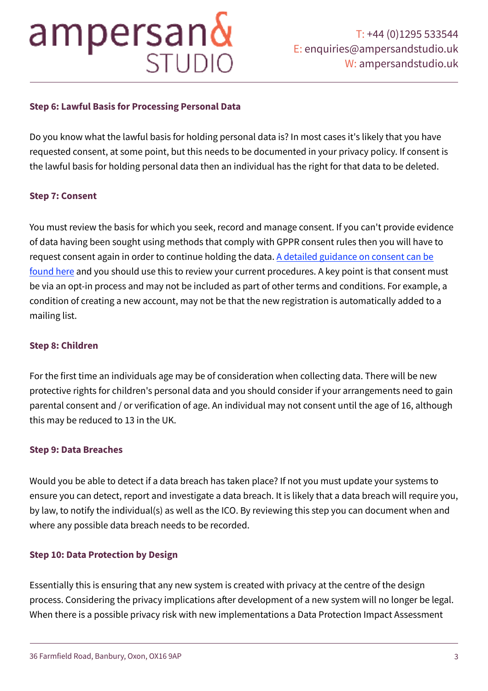### **Step 6: Lawful Basis for Processing Personal Data**

Do you know what the lawful basis for holding personal data is? In most cases it's likely that you have requested consent, at some point, but this needs to be documented in your privacy policy. If consent is the lawful basis for holding personal data then an individual has the right for that data to be deleted.

#### **Step 7: Consent**

You must review the basis for which you seek, record and manage consent. If you can't provide evidence of data having been sought using methods that comply with GPPR consent rules then you will have to request consent again in order to continue holding the data. A detailed guidance on consent can be [found here](https://ico.org.uk/media/about-the-ico/consultations/2013551/draft-gdpr-consent-guidance-for-consultation-201) and you should use this to review your current procedures. A key point is that consent must be via an opt-in process and may not be included as part of other terms and conditions. For example, a condition of creating a new account, may not be that the new registration is automatically added to a mailing list.

#### **Step 8: Children**

For the first time an individuals age may be of consideration when collecting data. There will be new protective rights for children's personal data and you should consider if your arrangements need to gain parental consent and / or verification of age. An individual may not consent until the age of 16, although this may be reduced to 13 in the UK.

#### **Step 9: Data Breaches**

Would you be able to detect if a data breach has taken place? If not you must update your systems to ensure you can detect, report and investigate a data breach. It is likely that a data breach will require you, by law, to notify the individual(s) as well as the ICO. By reviewing this step you can document when and where any possible data breach needs to be recorded.

#### **Step 10: Data Protection by Design**

Essentially this is ensuring that any new system is created with privacy at the centre of the design process. Considering the privacy implications afer development of a new system will no longer be legal. When there is a possible privacy risk with new implementations a Data Protection Impact Assessment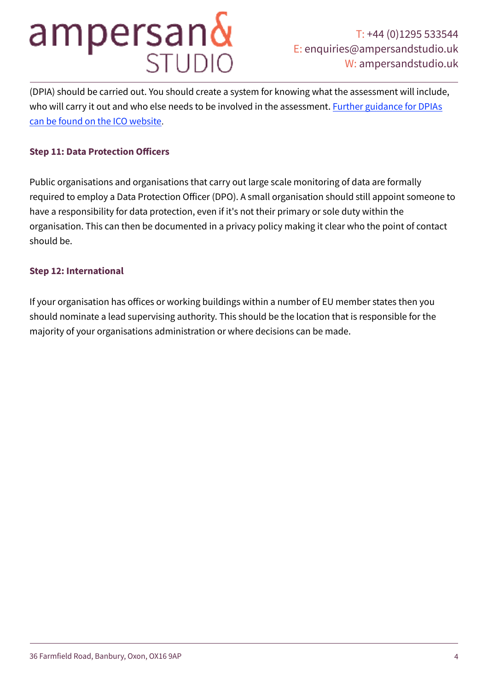# ampersan&

(DPIA) should be carried out. You should create a system for knowing what the assessment will include, who will carry it out and who else needs to be involved in the assessment. Further guidance for DPIAs [can be found on the ICO website](https://ico.org.uk/media/for-organisations/documents/1595/pia-code-of-practice.pdf).

### **Step 11: Data Protection Officers**

Public organisations and organisations that carry out large scale monitoring of data are formally required to employ a Data Protection Officer (DPO). A small organisation should still appoint someone to have a responsibility for data protection, even if it's not their primary or sole duty within the organisation. This can then be documented in a privacy policy making it clear who the point of contact should be.

#### **Step 12: International**

If your organisation has offices or working buildings within a number of EU member states then you should nominate a lead supervising authority. This should be the location that is responsible for the majority of your organisations administration or where decisions can be made.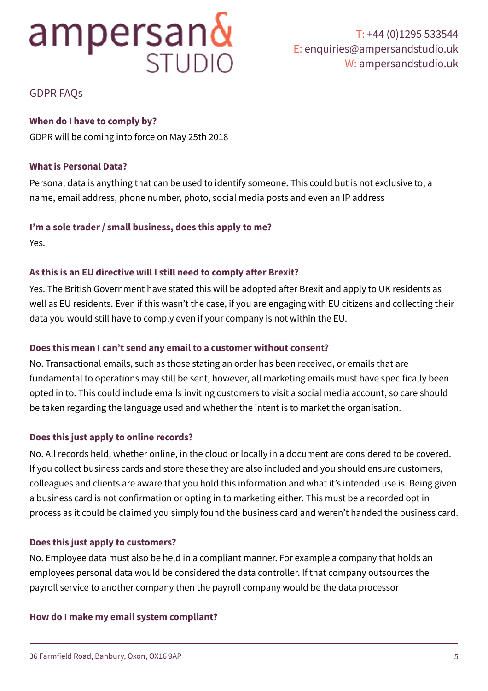## GDPR FAQs

## **When do I have to comply by?**

GDPR will be coming into force on May 25th 2018

### **What is Personal Data?**

Personal data is anything that can be used to identify someone. This could but is not exclusive to; a name, email address, phone number, photo, social media posts and even an IP address

#### **I'm a sole trader / small business, does this apply to me?**

Yes.

## **As this is an EU directive will I still need to comply afer Brexit?**

Yes. The British Government have stated this will be adopted afer Brexit and apply to UK residents as well as EU residents. Even if this wasn't the case, if you are engaging with EU citizens and collecting their data you would still have to comply even if your company is not within the EU.

### **Does this mean I can't send any email to a customer without consent?**

No. Transactional emails, such as those stating an order has been received, or emails that are fundamental to operations may still be sent, however, all marketing emails must have specifically been opted in to. This could include emails inviting customers to visit a social media account, so care should be taken regarding the language used and whether the intent is to market the organisation.

## **Does this just apply to online records?**

No. All records held, whether online, in the cloud or locally in a document are considered to be covered. If you collect business cards and store these they are also included and you should ensure customers, colleagues and clients are aware that you hold this information and what it's intended use is. Being given a business card is not confirmation or opting in to marketing either. This must be a recorded opt in process as it could be claimed you simply found the business card and weren't handed the business card.

### **Does this just apply to customers?**

No. Employee data must also be held in a compliant manner. For example a company that holds an employees personal data would be considered the data controller. If that company outsources the payroll service to another company then the payroll company would be the data processor

### **How do I make my email system compliant?**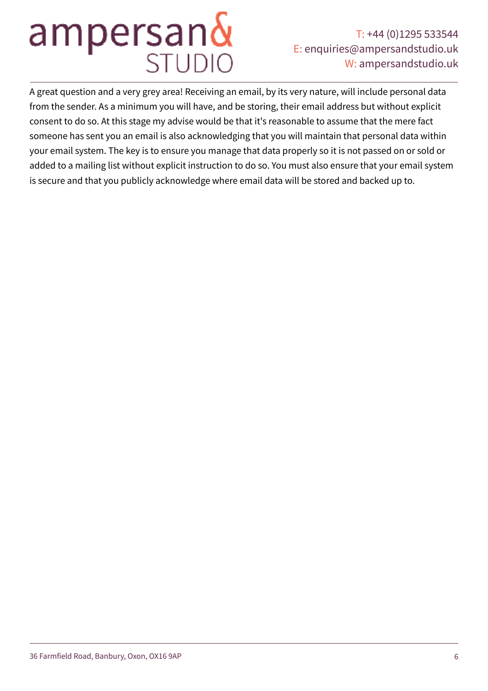# ampersan&

## T: +44 (0)1295 533544 E: [enquiries@ampersandstudio.uk](mailto:enquiries@ampersandstudio.uk) W: [ampersandstudio.uk](http://ampersandstudio.uk)

A great question and a very grey area! Receiving an email, by its very nature, will include personal data from the sender. As a minimum you will have, and be storing, their email address but without explicit consent to do so. At this stage my advise would be that it's reasonable to assume that the mere fact someone has sent you an email is also acknowledging that you will maintain that personal data within your email system. The key is to ensure you manage that data properly so it is not passed on or sold or added to a mailing list without explicit instruction to do so. You must also ensure that your email system is secure and that you publicly acknowledge where email data will be stored and backed up to.